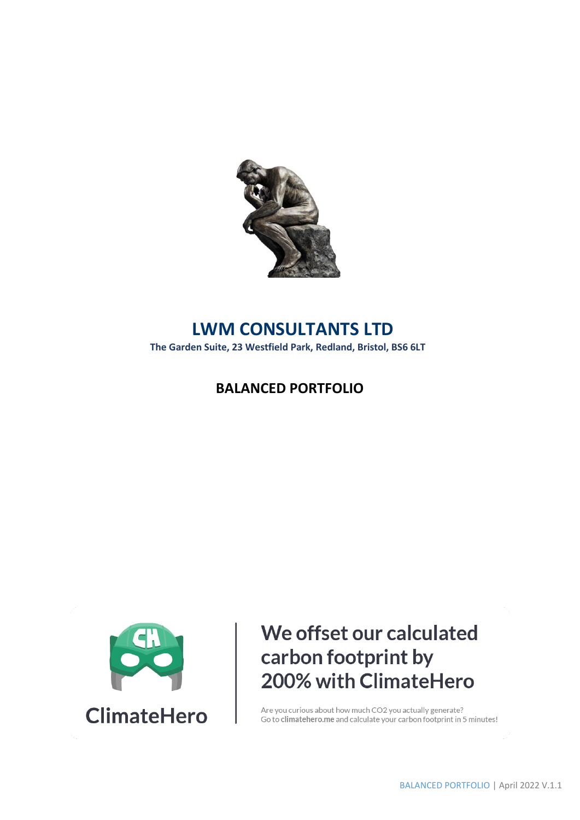

## **LWM CONSULTANTS LTD**

**The Garden Suite, 23 Westfield Park, Redland, Bristol, BS6 6LT**

### **BALANCED PORTFOLIO**



# We offset our calculated carbon footprint by 200% with ClimateHero

Are you curious about how much CO2 you actually generate? Go to climatehero.me and calculate your carbon footprint in 5 minutes!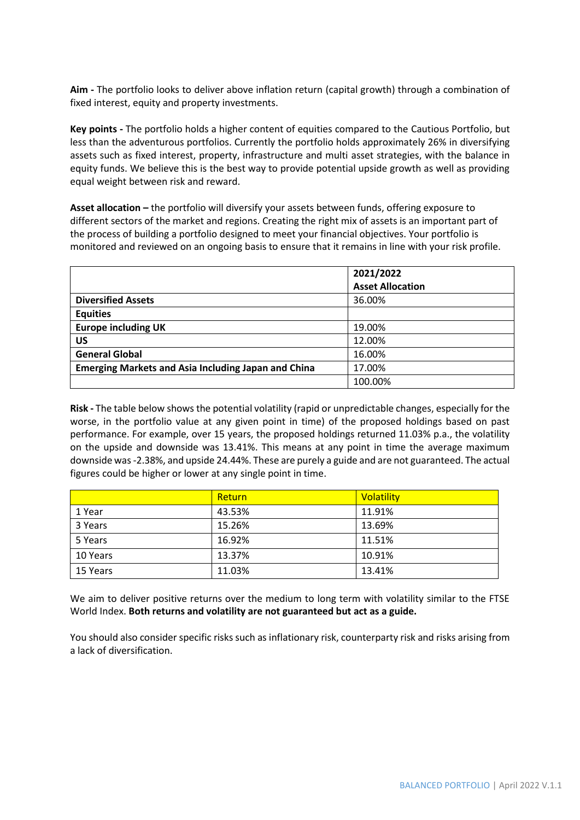**Aim -** The portfolio looks to deliver above inflation return (capital growth) through a combination of fixed interest, equity and property investments.

**Key points -** The portfolio holds a higher content of equities compared to the Cautious Portfolio, but less than the adventurous portfolios. Currently the portfolio holds approximately 26% in diversifying assets such as fixed interest, property, infrastructure and multi asset strategies, with the balance in equity funds. We believe this is the best way to provide potential upside growth as well as providing equal weight between risk and reward.

**Asset allocation –** the portfolio will diversify your assets between funds, offering exposure to different sectors of the market and regions. Creating the right mix of assets is an important part of the process of building a portfolio designed to meet your financial objectives. Your portfolio is monitored and reviewed on an ongoing basis to ensure that it remains in line with your risk profile.

|                                                            | 2021/2022               |
|------------------------------------------------------------|-------------------------|
|                                                            | <b>Asset Allocation</b> |
| <b>Diversified Assets</b>                                  | 36.00%                  |
| <b>Equities</b>                                            |                         |
| <b>Europe including UK</b>                                 | 19.00%                  |
| <b>US</b>                                                  | 12.00%                  |
| <b>General Global</b>                                      | 16.00%                  |
| <b>Emerging Markets and Asia Including Japan and China</b> | 17.00%                  |
|                                                            | 100.00%                 |

**Risk -** The table below shows the potential volatility (rapid or unpredictable changes, especially for the worse, in the portfolio value at any given point in time) of the proposed holdings based on past performance. For example, over 15 years, the proposed holdings returned 11.03% p.a., the volatility on the upside and downside was 13.41%. This means at any point in time the average maximum downside was -2.38%, and upside 24.44%. These are purely a guide and are not guaranteed. The actual figures could be higher or lower at any single point in time.

|          | Return | Volatility |
|----------|--------|------------|
| 1 Year   | 43.53% | 11.91%     |
| 3 Years  | 15.26% | 13.69%     |
| 5 Years  | 16.92% | 11.51%     |
| 10 Years | 13.37% | 10.91%     |
| 15 Years | 11.03% | 13.41%     |

We aim to deliver positive returns over the medium to long term with volatility similar to the FTSE World Index. **Both returns and volatility are not guaranteed but act as a guide.** 

You should also consider specific risks such as inflationary risk, counterparty risk and risks arising from a lack of diversification.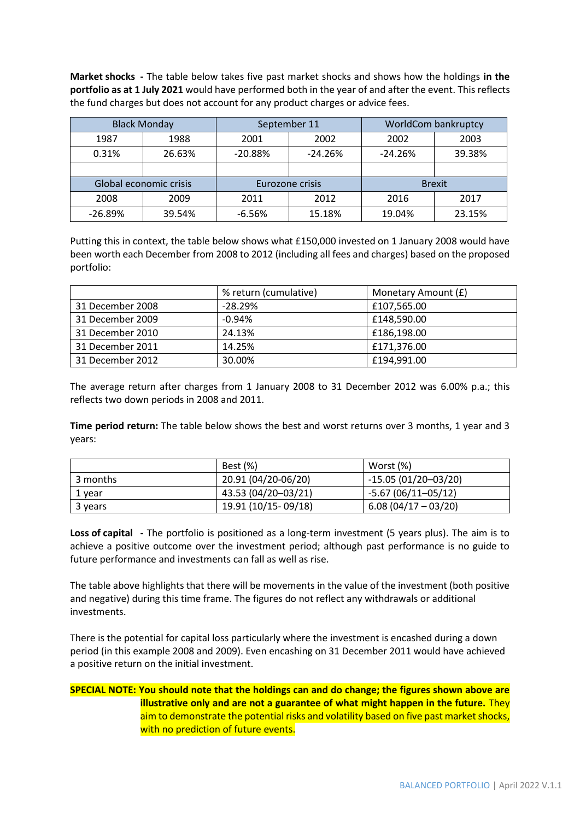**Market shocks -** The table below takes five past market shocks and shows how the holdings **in the portfolio as at 1 July 2021** would have performed both in the year of and after the event. This reflects the fund charges but does not account for any product charges or advice fees.

|           | <b>Black Monday</b>    | September 11           |                 |           | WorldCom bankruptcy |
|-----------|------------------------|------------------------|-----------------|-----------|---------------------|
| 1987      | 1988                   |                        | 2002<br>2001    |           | 2003                |
| 0.31%     | 26.63%                 | $-24.26%$<br>$-20.88%$ |                 | $-24.26%$ | 39.38%              |
|           |                        |                        |                 |           |                     |
|           | Global economic crisis |                        | Eurozone crisis |           | <b>Brexit</b>       |
| 2008      | 2009                   | 2011                   | 2012            | 2016      | 2017                |
| $-26.89%$ | 39.54%                 | $-6.56%$               | 15.18%          | 19.04%    | 23.15%              |

Putting this in context, the table below shows what £150,000 invested on 1 January 2008 would have been worth each December from 2008 to 2012 (including all fees and charges) based on the proposed portfolio:

|                  | % return (cumulative) | Monetary Amount (£) |
|------------------|-----------------------|---------------------|
| 31 December 2008 | $-28.29%$             | £107,565.00         |
| 31 December 2009 | $-0.94%$              | £148,590.00         |
| 31 December 2010 | 24.13%                | £186,198.00         |
| 31 December 2011 | 14.25%                | £171,376.00         |
| 31 December 2012 | 30.00%                | £194,991.00         |

The average return after charges from 1 January 2008 to 31 December 2012 was 6.00% p.a.; this reflects two down periods in 2008 and 2011.

**Time period return:** The table below shows the best and worst returns over 3 months, 1 year and 3 years:

|          | Best (%)            | Worst (%)             |
|----------|---------------------|-----------------------|
| 3 months | 20.91 (04/20-06/20) | $-15.05(01/20-03/20)$ |
| 1 year   | 43.53 (04/20-03/21) | $-5.67(06/11-05/12)$  |
| 3 years  | 19.91 (10/15-09/18) | $6.08(04/17-03/20)$   |

**Loss of capital -** The portfolio is positioned as a long-term investment (5 years plus). The aim is to achieve a positive outcome over the investment period; although past performance is no guide to future performance and investments can fall as well as rise.

The table above highlights that there will be movements in the value of the investment (both positive and negative) during this time frame. The figures do not reflect any withdrawals or additional investments.

There is the potential for capital loss particularly where the investment is encashed during a down period (in this example 2008 and 2009). Even encashing on 31 December 2011 would have achieved a positive return on the initial investment.

### **SPECIAL NOTE: You should note that the holdings can and do change; the figures shown above are illustrative only and are not a guarantee of what might happen in the future.** They aim to demonstrate the potential risks and volatility based on five past market shocks, with no prediction of future events.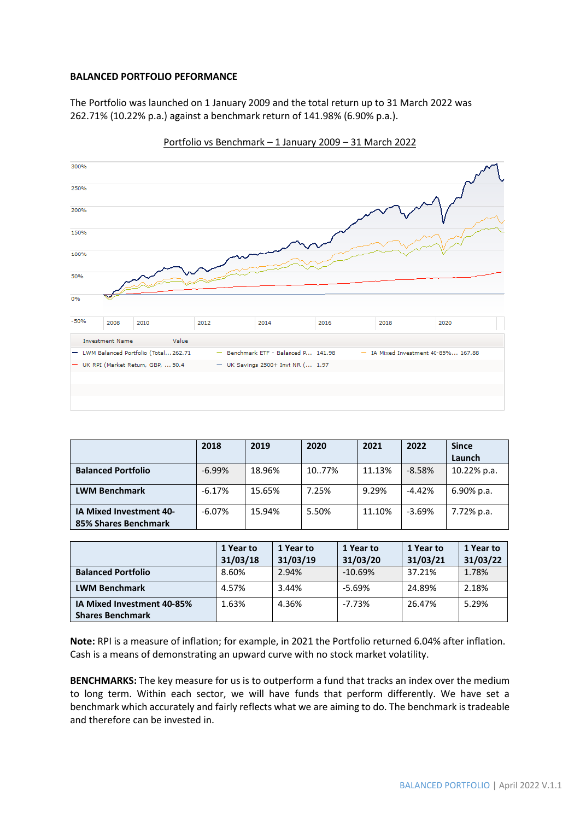#### **BALANCED PORTFOLIO PEFORMANCE**

The Portfolio was launched on 1 January 2009 and the total return up to 31 March 2022 was 262.71% (10.22% p.a.) against a benchmark return of 141.98% (6.90% p.a.).



Portfolio vs Benchmark – 1 January 2009 – 31 March 2022

|                                                        | 2018     | 2019   | 2020  | 2021   | 2022     | <b>Since</b><br>Launch |
|--------------------------------------------------------|----------|--------|-------|--------|----------|------------------------|
| <b>Balanced Portfolio</b>                              | $-6.99%$ | 18.96% | 1077% | 11.13% | $-8.58%$ | 10.22% p.a.            |
| <b>LWM Benchmark</b>                                   | $-6.17%$ | 15.65% | 7.25% | 9.29%  | $-4.42%$ | $6.90\%$ p.a.          |
| <b>IA Mixed Investment 40-</b><br>85% Shares Benchmark | $-6.07%$ | 15.94% | 5.50% | 11.10% | $-3.69%$ | 7.72% p.a.             |

|                            | 1 Year to | 1 Year to | 1 Year to | 1 Year to | 1 Year to |
|----------------------------|-----------|-----------|-----------|-----------|-----------|
|                            | 31/03/18  | 31/03/19  | 31/03/20  | 31/03/21  | 31/03/22  |
| <b>Balanced Portfolio</b>  | 8.60%     | 2.94%     | $-10.69%$ | 37.21%    | 1.78%     |
| <b>LWM Benchmark</b>       | 4.57%     | 3.44%     | $-5.69%$  | 24.89%    | 2.18%     |
| IA Mixed Investment 40-85% | 1.63%     | 4.36%     | $-7.73%$  | 26.47%    | 5.29%     |
| <b>Shares Benchmark</b>    |           |           |           |           |           |

**Note:** RPI is a measure of inflation; for example, in 2021 the Portfolio returned 6.04% after inflation. Cash is a means of demonstrating an upward curve with no stock market volatility.

**BENCHMARKS:** The key measure for us is to outperform a fund that tracks an index over the medium to long term. Within each sector, we will have funds that perform differently. We have set a benchmark which accurately and fairly reflects what we are aiming to do. The benchmark is tradeable and therefore can be invested in.